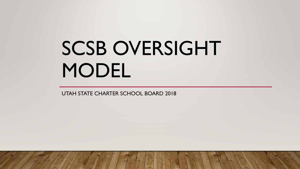# SCSB OVERSIGHT MODEL

UTAH STATE CHARTER SCHOOL BOARD 2018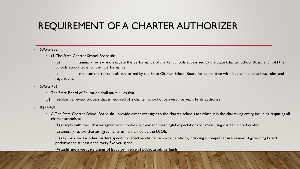# REQUIREMENT OF A CHARTER AUTHORIZER

#### • 53G-5-202

• (1)The State Charter School Board shall:

(b) annually review and evaluate the performance of charter schools authorized by the State Charter School Board and hold the schools accountable for their performance;

(c) monitor charter schools authorized by the State Charter School Board for compliance with federal and state laws, rules, and regulations;

- $53G-5-406$ 
	- The State Board of Education shall make rules that:
	- (3) establish a review process that is required of a charter school once every five years by its authorizer.
- R277-481
	- A. The State Charter School Board shall provide direct oversight to the charter schools for which it is the chartering entity, including requiring all charter schools to:
		- (1) comply with their charter agreements containing clear and meaningful expectations for measuring charter school quality.
		- (2) annually review charter agreements, as maintained by the USOE;

(3) regularly review other matters specific to effective charter school operations, including a comprehensive review of governing board performance at least once every five years; and

(4) audit and investigate claims of fraud or misuse of public assets or funds.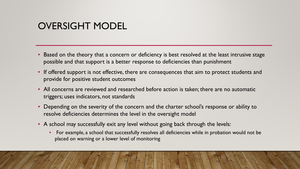# OVERSIGHT MODEL

- Based on the theory that a concern or deficiency is best resolved at the least intrusive stage possible and that support is a better response to deficiencies than punishment
- If offered support is not effective, there are consequences that aim to protect students and provide for positive student outcomes
- All concerns are reviewed and researched before action is taken; there are no automatic triggers; uses indicators, not standards
- Depending on the severity of the concern and the charter school's response or ability to resolve deficiencies determines the level in the oversight model
- A school may successfully exit any level without going back through the levels:
	- For example, a school that successfully resolves all deficiencies while in probation would not be placed on warning or a lower level of monitoring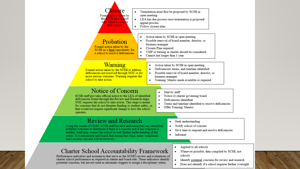

Does not identify if a school requires further oversight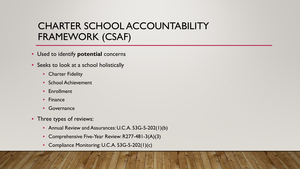# CHARTER SCHOOL ACCOUNTABILITY FRAMEWORK (CSAF)

- Used to identify **potential** concerns
- Seeks to look at a school holistically
	- Charter Fidelity
	- School Achievement
	- **Enrollment**
	- Finance
	- Governance
- Three types of reviews:
	- Annual Review and Assurances: U.C.A. 53G-5-202(1)(b)
	- Comprehensive Five-Year Review: R277-481-3(A)(3)
	- Compliance Monitoring: U.C.A. 53G-5-202(1)(c)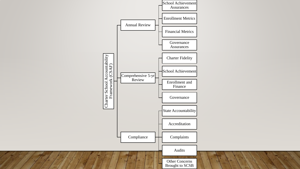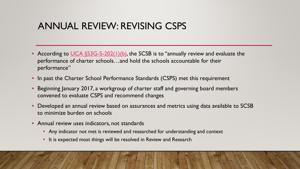#### ANNUAL REVIEW: REVISING CSPS

- According to [UCA §53G-5-202\(1\)\(b\)](https://le.utah.gov/xcode/Title53G/Chapter5/53G-5-S202.html?v=C53G-5-S202_2018012420180124), the SCSB is to "annually review and evaluate the performance of charter schools…and hold the schools accountable for their performance"
- In past the Charter School Performance Standards (CSPS) met this requirement
- Beginning January 2017, a workgroup of charter staff and governing board members convened to evaluate CSPS and recommend changes
- Developed an annual review based on assurances and metrics using data available to SCSB to minimize burden on schools
- Annual review uses indicators, not standards
	- Any indicator not met is reviewed and researched for understanding and context
	- It is expected most things will be resolved in Review and Research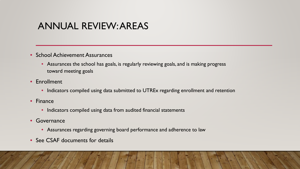# ANNUAL REVIEW: AREAS

- School Achievement Assurances
	- Assurances the school has goals, is regularly reviewing goals, and is making progress toward meeting goals
- Enrollment
	- Indicators compiled using data submitted to UTREx regarding enrollment and retention
- Finance
	- Indicators compiled using data from audited financial statements
- Governance
	- Assurances regarding governing board performance and adherence to law
- See CSAF documents for details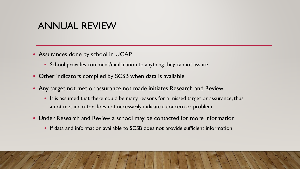#### ANNUAL REVIEW

- Assurances done by school in UCAP
	- School provides comment/explanation to anything they cannot assure
- Other indicators compiled by SCSB when data is available
- Any target not met or assurance not made initiates Research and Review
	- It is assumed that there could be many reasons for a missed target or assurance, thus a not met indicator does not necessarily indicate a concern or problem
- Under Research and Review a school may be contacted for more information
	- If data and information available to SCSB does not provide sufficient information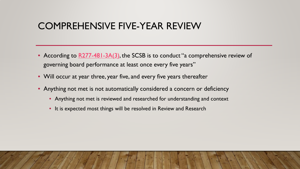#### COMPREHENSIVE FIVE-YEAR REVIEW

- According to [R277-481-3A\(3\),](https://rules.utah.gov/publicat/code/r277/r277-481.htm) the SCSB is to conduct "a comprehensive review of governing board performance at least once every five years"
- Will occur at year three, year five, and every five years thereafter
- Anything not met is not automatically considered a concern or deficiency
	- Anything not met is reviewed and researched for understanding and context
	- It is expected most things will be resolved in Review and Research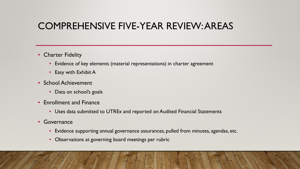# COMPREHENSIVE FIVE-YEAR REVIEW: AREAS

- Charter Fidelity
	- Evidence of key elements (material representations) in charter agreement
	- Easy with Exhibit A
- School Achievement
	- Data on school's goals
- Enrollment and Finance
	- Uses data submitted to UTREx and reported on Audited Financial Statements
- Governance
	- Evidence supporting annual governance assurances, pulled from minutes, agendas, etc.
	- Observations at governing board meetings per rubric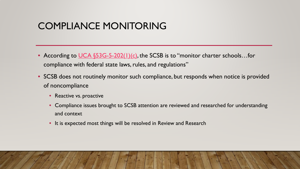# COMPLIANCE MONITORING

- According to [UCA §53G-5-202\(1\)\(c\)](https://le.utah.gov/xcode/Title53G/Chapter5/53G-5-S202.html?v=C53G-5-S202_2018012420180124), the SCSB is to "monitor charter schools...for compliance with federal state laws, rules, and regulations"
- SCSB does not routinely monitor such compliance, but responds when notice is provided of noncompliance
	- Reactive vs. proactive
	- Compliance issues brought to SCSB attention are reviewed and researched for understanding and context
	- It is expected most things will be resolved in Review and Research